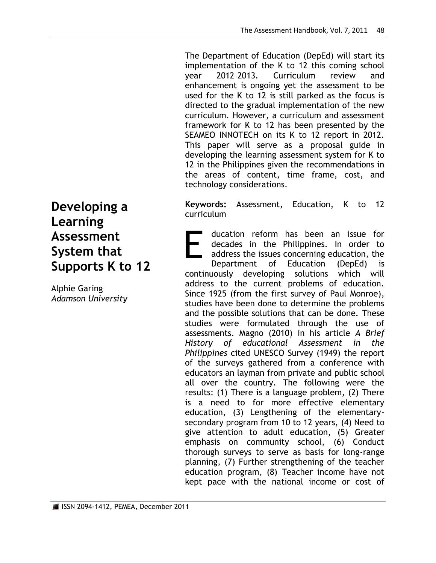The Department of Education (DepEd) will start its implementation of the K to 12 this coming school year 2012–2013. Curriculum review and enhancement is ongoing yet the assessment to be used for the K to 12 is still parked as the focus is directed to the gradual implementation of the new curriculum. However, a curriculum and assessment framework for K to 12 has been presented by the SEAMEO INNOTECH on its K to 12 report in 2012. This paper will serve as a proposal guide in developing the learning assessment system for K to 12 in the Philippines given the recommendations in the areas of content, time frame, cost, and technology considerations.

**Keywords:** Assessment, Education, K to 12 curriculum

ducation reform has been an issue for decades in the Philippines. In order to address the issues concerning education, the Department of Education (DepEd) is continuously developing solutions which will address to the current problems of education. Since 1925 (from the first survey of Paul Monroe), studies have been done to determine the problems and the possible solutions that can be done. These studies were formulated through the use of assessments. Magno (2010) in his article *A Brief History of educational Assessment in the Philippines* cited UNESCO Survey (1949) the report of the surveys gathered from a conference with educators an layman from private and public school all over the country. The following were the results: (1) There is a language problem, (2) There is a need to for more effective elementary education, (3) Lengthening of the elementarysecondary program from 10 to 12 years, (4) Need to give attention to adult education, (5) Greater emphasis on community school, (6) Conduct thorough surveys to serve as basis for long-range planning, (7) Further strengthening of the teacher education program, (8) Teacher income have not kept pace with the national income or cost of E

**Developing a Learning Assessment System that Supports K to 12**

Alphie Garing *Adamson University*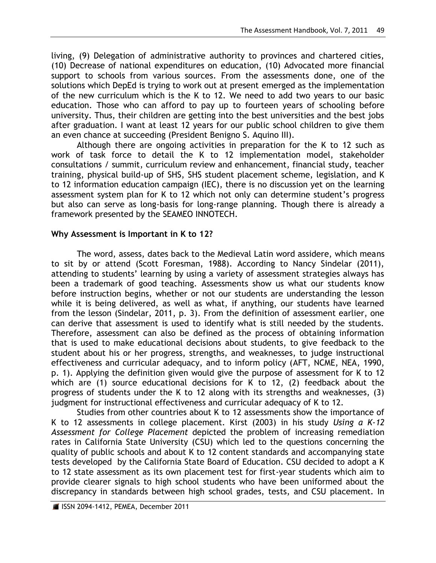living, (9) Delegation of administrative authority to provinces and chartered cities, (10) Decrease of national expenditures on education, (10) Advocated more financial support to schools from various sources. From the assessments done, one of the solutions which DepEd is trying to work out at present emerged as the implementation of the new curriculum which is the K to 12. We need to add two years to our basic education. Those who can afford to pay up to fourteen years of schooling before university. Thus, their children are getting into the best universities and the best jobs after graduation. I want at least 12 years for our public school children to give them an even chance at succeeding (President Benigno S. Aquino III).

Although there are ongoing activities in preparation for the K to 12 such as work of task force to detail the K to 12 implementation model, stakeholder consultations / summit, curriculum review and enhancement, financial study, teacher training, physical build-up of SHS, SHS student placement scheme, legislation, and K to 12 information education campaign (IEC), there is no discussion yet on the learning assessment system plan for K to 12 which not only can determine student's progress but also can serve as long-basis for long-range planning. Though there is already a framework presented by the SEAMEO INNOTECH.

# **Why Assessment is Important in K to 12?**

The word, assess, dates back to the Medieval Latin word assidere, which means to sit by or attend (Scott Foresman, 1988). According to Nancy Sindelar (2011), attending to students' learning by using a variety of assessment strategies always has been a trademark of good teaching. Assessments show us what our students know before instruction begins, whether or not our students are understanding the lesson while it is being delivered, as well as what, if anything, our students have learned from the lesson (Sindelar, 2011, p. 3). From the definition of assessment earlier, one can derive that assessment is used to identify what is still needed by the students. Therefore, assessment can also be defined as the process of obtaining information that is used to make educational decisions about students, to give feedback to the student about his or her progress, strengths, and weaknesses, to judge instructional effectiveness and curricular adequacy, and to inform policy (AFT, NCME, NEA, 1990, p. 1). Applying the definition given would give the purpose of assessment for K to 12 which are (1) source educational decisions for K to 12, (2) feedback about the progress of students under the K to 12 along with its strengths and weaknesses, (3) judgment for instructional effectiveness and curricular adequacy of K to 12.

Studies from other countries about K to 12 assessments show the importance of K to 12 assessments in college placement. Kirst (2003) in his study *Using a K-12 Assessment for College Placement* depicted the problem of increasing remediation rates in California State University (CSU) which led to the questions concerning the quality of public schools and about K to 12 content standards and accompanying state tests developed by the California State Board of Education. CSU decided to adopt a K to 12 state assessment as its own placement test for first-year students which aim to provide clearer signals to high school students who have been uniformed about the discrepancy in standards between high school grades, tests, and CSU placement. In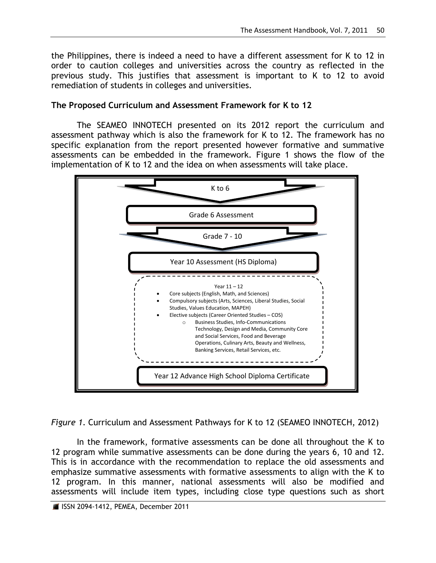the Philippines, there is indeed a need to have a different assessment for K to 12 in order to caution colleges and universities across the country as reflected in the previous study. This justifies that assessment is important to K to 12 to avoid remediation of students in colleges and universities.

## **The Proposed Curriculum and Assessment Framework for K to 12**

The SEAMEO INNOTECH presented on its 2012 report the curriculum and assessment pathway which is also the framework for K to 12. The framework has no specific explanation from the report presented however formative and summative assessments can be embedded in the framework. Figure 1 shows the flow of the implementation of K to 12 and the idea on when assessments will take place.



*Figure 1*. Curriculum and Assessment Pathways for K to 12 (SEAMEO INNOTECH, 2012)

In the framework, formative assessments can be done all throughout the K to 12 program while summative assessments can be done during the years 6, 10 and 12. This is in accordance with the recommendation to replace the old assessments and emphasize summative assessments with formative assessments to align with the K to 12 program. In this manner, national assessments will also be modified and assessments will include item types, including close type questions such as short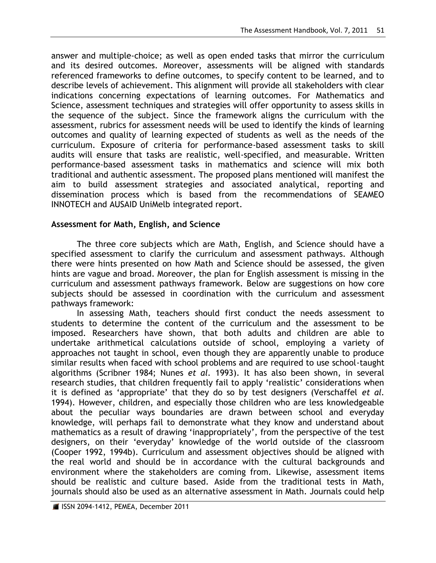answer and multiple-choice; as well as open ended tasks that mirror the curriculum and its desired outcomes. Moreover, assessments will be aligned with standards referenced frameworks to define outcomes, to specify content to be learned, and to describe levels of achievement. This alignment will provide all stakeholders with clear indications concerning expectations of learning outcomes. For Mathematics and Science, assessment techniques and strategies will offer opportunity to assess skills in the sequence of the subject. Since the framework aligns the curriculum with the assessment, rubrics for assessment needs will be used to identify the kinds of learning outcomes and quality of learning expected of students as well as the needs of the curriculum. Exposure of criteria for performance-based assessment tasks to skill audits will ensure that tasks are realistic, well-specified, and measurable. Written performance-based assessment tasks in mathematics and science will mix both traditional and authentic assessment. The proposed plans mentioned will manifest the aim to build assessment strategies and associated analytical, reporting and dissemination process which is based from the recommendations of SEAMEO INNOTECH and AUSAID UniMelb integrated report.

## **Assessment for Math, English, and Science**

The three core subjects which are Math, English, and Science should have a specified assessment to clarify the curriculum and assessment pathways. Although there were hints presented on how Math and Science should be assessed, the given hints are vague and broad. Moreover, the plan for English assessment is missing in the curriculum and assessment pathways framework. Below are suggestions on how core subjects should be assessed in coordination with the curriculum and assessment pathways framework:

In assessing Math, teachers should first conduct the needs assessment to students to determine the content of the curriculum and the assessment to be imposed. Researchers have shown, that both adults and children are able to undertake arithmetical calculations outside of school, employing a variety of approaches not taught in school, even though they are apparently unable to produce similar results when faced with school problems and are required to use school-taught algorithms (Scribner 1984; Nunes *et al.* 1993). It has also been shown, in several research studies, that children frequently fail to apply "realistic" considerations when it is defined as "appropriate" that they do so by test designers (Verschaffel *et al.* 1994). However, children, and especially those children who are less knowledgeable about the peculiar ways boundaries are drawn between school and everyday knowledge, will perhaps fail to demonstrate what they know and understand about mathematics as a result of drawing 'inappropriately', from the perspective of the test designers, on their "everyday" knowledge of the world outside of the classroom (Cooper 1992, 1994b). Curriculum and assessment objectives should be aligned with the real world and should be in accordance with the cultural backgrounds and environment where the stakeholders are coming from. Likewise, assessment items should be realistic and culture based. Aside from the traditional tests in Math, journals should also be used as an alternative assessment in Math. Journals could help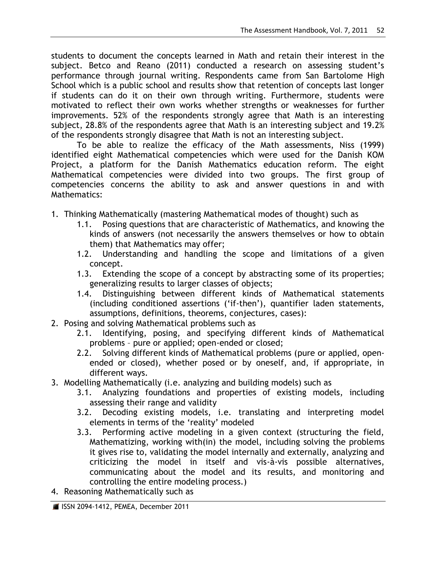students to document the concepts learned in Math and retain their interest in the subject. Betco and Reano (2011) conducted a research on assessing student's performance through journal writing. Respondents came from San Bartolome High School which is a public school and results show that retention of concepts last longer if students can do it on their own through writing. Furthermore, students were motivated to reflect their own works whether strengths or weaknesses for further improvements. 52% of the respondents strongly agree that Math is an interesting subject, 28.8% of the respondents agree that Math is an interesting subject and 19.2% of the respondents strongly disagree that Math is not an interesting subject.

To be able to realize the efficacy of the Math assessments, Niss (1999) identified eight Mathematical competencies which were used for the Danish KOM Project, a platform for the Danish Mathematics education reform. The eight Mathematical competencies were divided into two groups. The first group of competencies concerns the ability to ask and answer questions in and with Mathematics:

- 1. Thinking Mathematically (mastering Mathematical modes of thought) such as
	- 1.1. Posing questions that are characteristic of Mathematics, and knowing the kinds of answers (not necessarily the answers themselves or how to obtain them) that Mathematics may offer;
	- 1.2. Understanding and handling the scope and limitations of a given concept.
	- 1.3. Extending the scope of a concept by abstracting some of its properties; generalizing results to larger classes of objects;
	- 1.4. Distinguishing between different kinds of Mathematical statements (including conditioned assertions ("if-then"), quantifier laden statements, assumptions, definitions, theorems, conjectures, cases):
- 2. Posing and solving Mathematical problems such as
	- 2.1. Identifying, posing, and specifying different kinds of Mathematical problems – pure or applied; open-ended or closed;
	- 2.2. Solving different kinds of Mathematical problems (pure or applied, openended or closed), whether posed or by oneself, and, if appropriate, in different ways.
- 3. Modelling Mathematically (i.e. analyzing and building models) such as
	- 3.1. Analyzing foundations and properties of existing models, including assessing their range and validity
	- 3.2. Decoding existing models, i.e. translating and interpreting model elements in terms of the "reality" modeled
	- 3.3. Performing active modeling in a given context (structuring the field, Mathematizing, working with(in) the model, including solving the problems it gives rise to, validating the model internally and externally, analyzing and criticizing the model in itself and vis-à-vis possible alternatives, communicating about the model and its results, and monitoring and controlling the entire modeling process.)
- 4. Reasoning Mathematically such as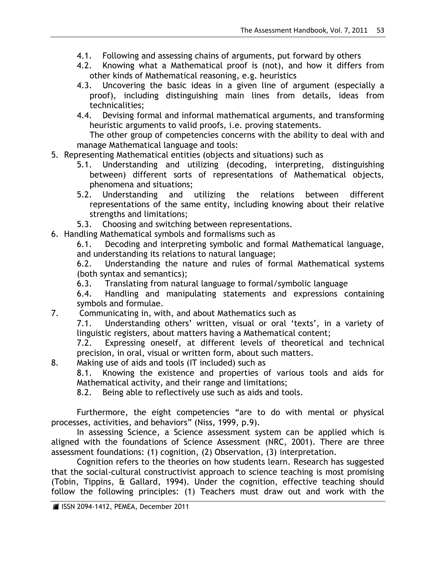- 4.1. Following and assessing chains of arguments, put forward by others
- 4.2. Knowing what a Mathematical proof is (not), and how it differs from other kinds of Mathematical reasoning, e.g. heuristics
- 4.3. Uncovering the basic ideas in a given line of argument (especially a proof), including distinguishing main lines from details, ideas from technicalities;
- 4.4. Devising formal and informal mathematical arguments, and transforming heuristic arguments to valid proofs, i.e. proving statements.

The other group of competencies concerns with the ability to deal with and manage Mathematical language and tools:

- 5. Representing Mathematical entities (objects and situations) such as
	- 5.1. Understanding and utilizing (decoding, interpreting, distinguishing between) different sorts of representations of Mathematical objects, phenomena and situations;
	- 5.2. Understanding and utilizing the relations between different representations of the same entity, including knowing about their relative strengths and limitations;
	- 5.3. Choosing and switching between representations.

6. Handling Mathematical symbols and formalisms such as

6.1. Decoding and interpreting symbolic and formal Mathematical language, and understanding its relations to natural language;

6.2. Understanding the nature and rules of formal Mathematical systems (both syntax and semantics);

6.3. Translating from natural language to formal/symbolic language

6.4. Handling and manipulating statements and expressions containing symbols and formulae.

7. Communicating in, with, and about Mathematics such as

7.1. Understanding others' written, visual or oral 'texts', in a variety of linguistic registers, about matters having a Mathematical content;

7.2. Expressing oneself, at different levels of theoretical and technical precision, in oral, visual or written form, about such matters.

8. Making use of aids and tools (IT included) such as

8.1. Knowing the existence and properties of various tools and aids for Mathematical activity, and their range and limitations;

8.2. Being able to reflectively use such as aids and tools.

Furthermore, the eight competencies "are to do with mental or physical processes, activities, and behaviors" (Niss, 1999, p.9).

In assessing Science, a Science assessment system can be applied which is aligned with the foundations of Science Assessment (NRC, 2001). There are three assessment foundations: (1) cognition, (2) Observation, (3) interpretation.

Cognition refers to the theories on how students learn. Research has suggested that the social-cultural constructivist approach to science teaching is most promising (Tobin, Tippins, & Gallard, 1994). Under the cognition, effective teaching should follow the following principles: (1) Teachers must draw out and work with the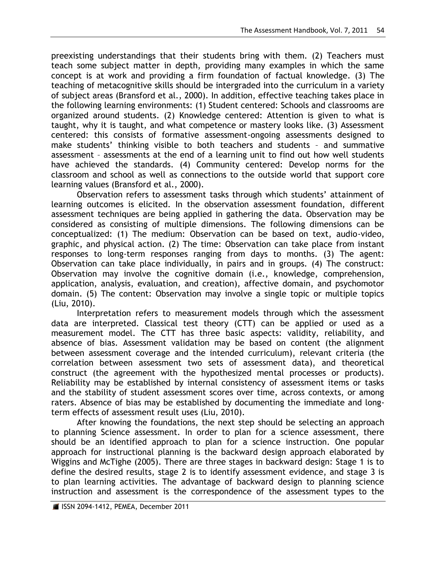preexisting understandings that their students bring with them. (2) Teachers must teach some subject matter in depth, providing many examples in which the same concept is at work and providing a firm foundation of factual knowledge. (3) The teaching of metacognitive skills should be intergraded into the curriculum in a variety of subject areas (Bransford et al., 2000). In addition, effective teaching takes place in the following learning environments: (1) Student centered: Schools and classrooms are organized around students. (2) Knowledge centered: Attention is given to what is taught, why it is taught, and what competence or mastery looks like. (3) Assessment centered: this consists of formative assessment-ongoing assessments designed to make students' thinking visible to both teachers and students - and summative assessment – assessments at the end of a learning unit to find out how well students have achieved the standards. (4) Community centered: Develop norms for the classroom and school as well as connections to the outside world that support core learning values (Bransford et al., 2000).

Observation refers to assessment tasks through which students' attainment of learning outcomes is elicited. In the observation assessment foundation, different assessment techniques are being applied in gathering the data. Observation may be considered as consisting of multiple dimensions. The following dimensions can be conceptualized: (1) The medium: Observation can be based on text, audio-video, graphic, and physical action. (2) The time: Observation can take place from instant responses to long-term responses ranging from days to months. (3) The agent: Observation can take place individually, in pairs and in groups. (4) The construct: Observation may involve the cognitive domain (i.e., knowledge, comprehension, application, analysis, evaluation, and creation), affective domain, and psychomotor domain. (5) The content: Observation may involve a single topic or multiple topics (Liu, 2010).

Interpretation refers to measurement models through which the assessment data are interpreted. Classical test theory (CTT) can be applied or used as a measurement model. The CTT has three basic aspects: validity, reliability, and absence of bias. Assessment validation may be based on content (the alignment between assessment coverage and the intended curriculum), relevant criteria (the correlation between assessment two sets of assessment data), and theoretical construct (the agreement with the hypothesized mental processes or products). Reliability may be established by internal consistency of assessment items or tasks and the stability of student assessment scores over time, across contexts, or among raters. Absence of bias may be established by documenting the immediate and longterm effects of assessment result uses (Liu, 2010).

After knowing the foundations, the next step should be selecting an approach to planning Science assessment. In order to plan for a science assessment, there should be an identified approach to plan for a science instruction. One popular approach for instructional planning is the backward design approach elaborated by Wiggins and McTighe (2005). There are three stages in backward design: Stage 1 is to define the desired results, stage 2 is to identify assessment evidence, and stage 3 is to plan learning activities. The advantage of backward design to planning science instruction and assessment is the correspondence of the assessment types to the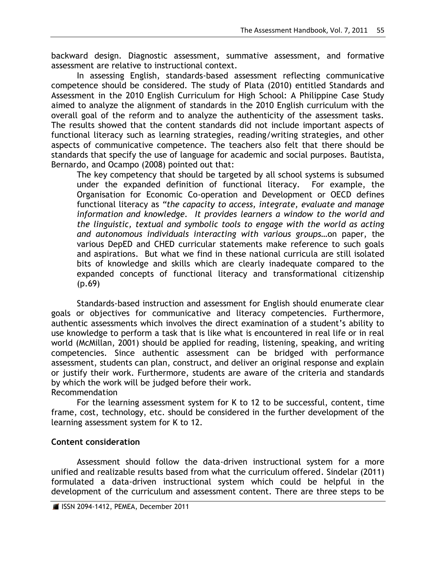backward design. Diagnostic assessment, summative assessment, and formative assessment are relative to instructional context.

In assessing English, standards-based assessment reflecting communicative competence should be considered. The study of Plata (2010) entitled Standards and Assessment in the 2010 English Curriculum for High School: A Philippine Case Study aimed to analyze the alignment of standards in the 2010 English curriculum with the overall goal of the reform and to analyze the authenticity of the assessment tasks. The results showed that the content standards did not include important aspects of functional literacy such as learning strategies, reading/writing strategies, and other aspects of communicative competence. The teachers also felt that there should be standards that specify the use of language for academic and social purposes. Bautista, Bernardo, and Ocampo (2008) pointed out that:

The key competency that should be targeted by all school systems is subsumed under the expanded definition of functional literacy. For example, the Organisation for Economic Co-operation and Development or OECD defines functional literacy as *"the capacity to access, integrate, evaluate and manage*  information and knowledge. It provides learners a window to the world and *the linguistic, textual and symbolic tools to engage with the world as acting and autonomous individuals interacting with various groups…*on paper, the various DepED and CHED curricular statements make reference to such goals and aspirations. But what we find in these national curricula are still isolated bits of knowledge and skills which are clearly inadequate compared to the expanded concepts of functional literacy and transformational citizenship (p.69)

Standards-based instruction and assessment for English should enumerate clear goals or objectives for communicative and literacy competencies. Furthermore, authentic assessments which involves the direct examination of a student"s ability to use knowledge to perform a task that is like what is encountered in real life or in real world (McMillan, 2001) should be applied for reading, listening, speaking, and writing competencies. Since authentic assessment can be bridged with performance assessment, students can plan, construct, and deliver an original response and explain or justify their work. Furthermore, students are aware of the criteria and standards by which the work will be judged before their work. Recommendation

For the learning assessment system for K to 12 to be successful, content, time frame, cost, technology, etc. should be considered in the further development of the learning assessment system for K to 12.

# **Content consideration**

Assessment should follow the data-driven instructional system for a more unified and realizable results based from what the curriculum offered. Sindelar (2011) formulated a data-driven instructional system which could be helpful in the development of the curriculum and assessment content. There are three steps to be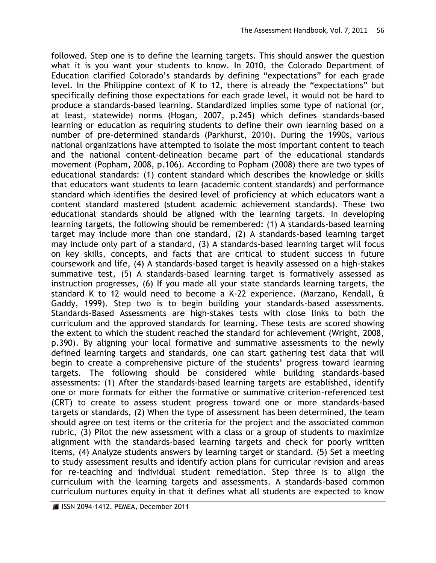followed. Step one is to define the learning targets. This should answer the question what it is you want your students to know. In 2010, the Colorado Department of Education clarified Colorado"s standards by defining "expectations" for each grade level. In the Philippine context of K to 12, there is already the "expectations" but specifically defining those expectations for each grade level, it would not be hard to produce a standards-based learning. Standardized implies some type of national (or, at least, statewide) norms (Hogan, 2007, p.245) which defines standards-based learning or education as requiring students to define their own learning based on a number of pre-determined standards (Parkhurst, 2010). During the 1990s, various national organizations have attempted to isolate the most important content to teach and the national content-delineation became part of the educational standards movement (Popham, 2008, p.106). According to Popham (2008) there are two types of educational standards: (1) content standard which describes the knowledge or skills that educators want students to learn (academic content standards) and performance standard which identifies the desired level of proficiency at which educators want a content standard mastered (student academic achievement standards). These two educational standards should be aligned with the learning targets. In developing learning targets, the following should be remembered: (1) A standards-based learning target may include more than one standard, (2) A standards-based learning target may include only part of a standard, (3) A standards-based learning target will focus on key skills, concepts, and facts that are critical to student success in future coursework and life, (4) A standards-based target is heavily assessed on a high-stakes summative test, (5) A standards-based learning target is formatively assessed as instruction progresses, (6) If you made all your state standards learning targets, the standard K to 12 would need to become a K-22 experience. (Marzano, Kendall, & Gaddy, 1999). Step two is to begin building your standards-based assessments. Standards-Based Assessments are high-stakes tests with close links to both the curriculum and the approved standards for learning. These tests are scored showing the extent to which the student reached the standard for achievement (Wright, 2008, p.390). By aligning your local formative and summative assessments to the newly defined learning targets and standards, one can start gathering test data that will begin to create a comprehensive picture of the students' progress toward learning targets. The following should be considered while building standards-based assessments: (1) After the standards-based learning targets are established, identify one or more formats for either the formative or summative criterion-referenced test (CRT) to create to assess student progress toward one or more standards-based targets or standards, (2) When the type of assessment has been determined, the team should agree on test items or the criteria for the project and the associated common rubric, (3) Pilot the new assessment with a class or a group of students to maximize alignment with the standards-based learning targets and check for poorly written items, (4) Analyze students answers by learning target or standard. (5) Set a meeting to study assessment results and identify action plans for curricular revision and areas for re-teaching and individual student remediation. Step three is to align the curriculum with the learning targets and assessments. A standards-based common curriculum nurtures equity in that it defines what all students are expected to know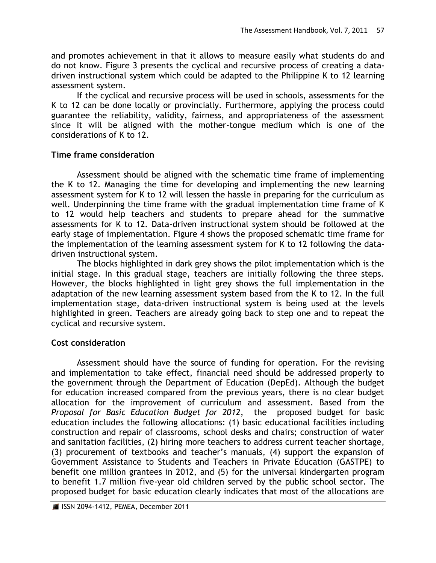and promotes achievement in that it allows to measure easily what students do and do not know. Figure 3 presents the cyclical and recursive process of creating a datadriven instructional system which could be adapted to the Philippine K to 12 learning assessment system.

If the cyclical and recursive process will be used in schools, assessments for the K to 12 can be done locally or provincially. Furthermore, applying the process could guarantee the reliability, validity, fairness, and appropriateness of the assessment since it will be aligned with the mother-tongue medium which is one of the considerations of K to 12.

## **Time frame consideration**

Assessment should be aligned with the schematic time frame of implementing the K to 12. Managing the time for developing and implementing the new learning assessment system for K to 12 will lessen the hassle in preparing for the curriculum as well. Underpinning the time frame with the gradual implementation time frame of K to 12 would help teachers and students to prepare ahead for the summative assessments for K to 12. Data-driven instructional system should be followed at the early stage of implementation. Figure 4 shows the proposed schematic time frame for the implementation of the learning assessment system for K to 12 following the datadriven instructional system.

The blocks highlighted in dark grey shows the pilot implementation which is the initial stage. In this gradual stage, teachers are initially following the three steps. However, the blocks highlighted in light grey shows the full implementation in the adaptation of the new learning assessment system based from the K to 12. In the full implementation stage, data-driven instructional system is being used at the levels highlighted in green. Teachers are already going back to step one and to repeat the cyclical and recursive system.

## **Cost consideration**

Assessment should have the source of funding for operation. For the revising and implementation to take effect, financial need should be addressed properly to the government through the Department of Education (DepEd). Although the budget for education increased compared from the previous years, there is no clear budget allocation for the improvement of curriculum and assessment. Based from the *Proposal for Basic Education Budget for 2012*, the proposed budget for basic education includes the following allocations: (1) basic educational facilities including construction and repair of classrooms, school desks and chairs; construction of water and sanitation facilities, (2) hiring more teachers to address current teacher shortage, (3) procurement of textbooks and teacher"s manuals, (4) support the expansion of Government Assistance to Students and Teachers in Private Education (GASTPE) to benefit one million grantees in 2012, and (5) for the universal kindergarten program to benefit 1.7 million five-year old children served by the public school sector. The proposed budget for basic education clearly indicates that most of the allocations are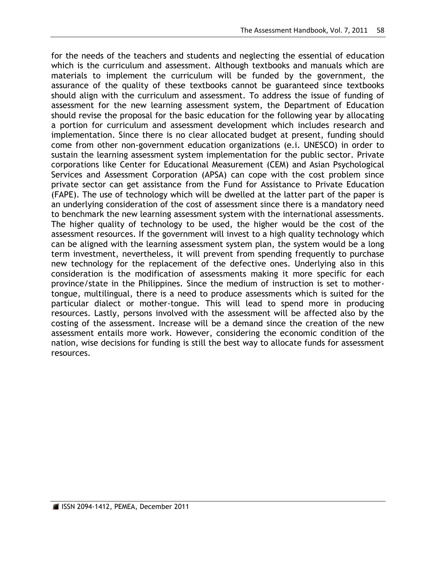for the needs of the teachers and students and neglecting the essential of education which is the curriculum and assessment. Although textbooks and manuals which are materials to implement the curriculum will be funded by the government, the assurance of the quality of these textbooks cannot be guaranteed since textbooks should align with the curriculum and assessment. To address the issue of funding of assessment for the new learning assessment system, the Department of Education should revise the proposal for the basic education for the following year by allocating a portion for curriculum and assessment development which includes research and implementation. Since there is no clear allocated budget at present, funding should come from other non-government education organizations (e.i. UNESCO) in order to sustain the learning assessment system implementation for the public sector. Private corporations like Center for Educational Measurement (CEM) and Asian Psychological Services and Assessment Corporation (APSA) can cope with the cost problem since private sector can get assistance from the Fund for Assistance to Private Education (FAPE). The use of technology which will be dwelled at the latter part of the paper is an underlying consideration of the cost of assessment since there is a mandatory need to benchmark the new learning assessment system with the international assessments. The higher quality of technology to be used, the higher would be the cost of the assessment resources. If the government will invest to a high quality technology which can be aligned with the learning assessment system plan, the system would be a long term investment, nevertheless, it will prevent from spending frequently to purchase new technology for the replacement of the defective ones. Underlying also in this consideration is the modification of assessments making it more specific for each province/state in the Philippines. Since the medium of instruction is set to mothertongue, multilingual, there is a need to produce assessments which is suited for the particular dialect or mother-tongue. This will lead to spend more in producing resources. Lastly, persons involved with the assessment will be affected also by the costing of the assessment. Increase will be a demand since the creation of the new assessment entails more work. However, considering the economic condition of the nation, wise decisions for funding is still the best way to allocate funds for assessment resources.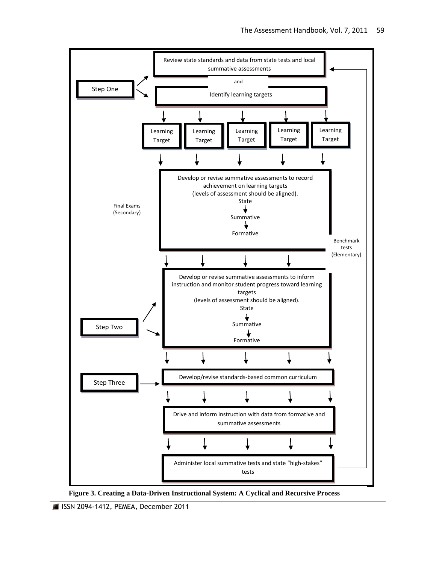

**Figure 3. Creating a Data-Driven Instructional System: A Cyclical and Recursive Process**

ISSN 2094-1412, PEMEA, December 2011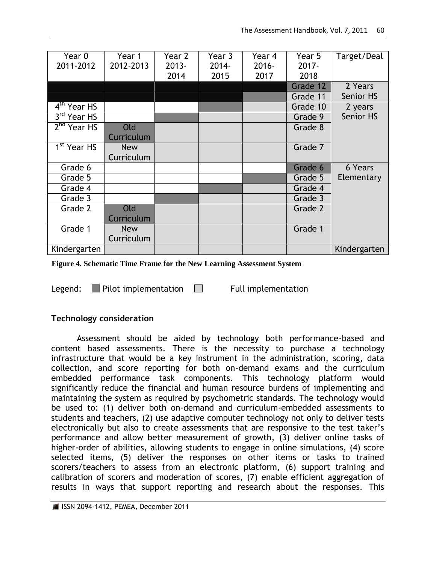| Year 0<br>2011-2012     | Year 1<br>2012-2013 | Year 2<br>$2013 -$<br>2014 | Year 3<br>$2014 -$<br>2015 | Year 4<br>$2016 -$<br>2017 | Year 5<br>$2017 -$<br>2018 | Target/Deal    |
|-------------------------|---------------------|----------------------------|----------------------------|----------------------------|----------------------------|----------------|
|                         |                     |                            |                            |                            | Grade 12                   | 2 Years        |
|                         |                     |                            |                            |                            | Grade 11                   | Senior HS      |
| 4 <sup>th</sup> Year HS |                     |                            |                            |                            | Grade 10                   | 2 years        |
| $3rd$ Year HS           |                     |                            |                            |                            | Grade 9                    | Senior HS      |
| $2nd$ Year HS           | Old                 |                            |                            |                            | Grade 8                    |                |
|                         | Curriculum          |                            |                            |                            |                            |                |
| 1 <sup>st</sup> Year HS | <b>New</b>          |                            |                            |                            | Grade 7                    |                |
|                         | Curriculum          |                            |                            |                            |                            |                |
| Grade 6                 |                     |                            |                            |                            | Grade 6                    | <b>6 Years</b> |
| Grade 5                 |                     |                            |                            |                            | Grade 5                    | Elementary     |
| Grade 4                 |                     |                            |                            |                            | Grade 4                    |                |
| Grade 3                 |                     |                            |                            |                            | Grade 3                    |                |
| Grade 2                 | Old                 |                            |                            |                            | Grade 2                    |                |
|                         | Curriculum          |                            |                            |                            |                            |                |
| Grade 1                 | <b>New</b>          |                            |                            |                            | Grade 1                    |                |
|                         | Curriculum          |                            |                            |                            |                            |                |
| Kindergarten            |                     |                            |                            |                            |                            | Kindergarten   |

**Figure 4. Schematic Time Frame for the New Learning Assessment System**

Legend: Pilot implementation  $\Box$  Full implementation

## **Technology consideration**

Assessment should be aided by technology both performance-based and content based assessments. There is the necessity to purchase a technology infrastructure that would be a key instrument in the administration, scoring, data collection, and score reporting for both on-demand exams and the curriculum embedded performance task components. This technology platform would significantly reduce the financial and human resource burdens of implementing and maintaining the system as required by psychometric standards. The technology would be used to: (1) deliver both on-demand and curriculum-embedded assessments to students and teachers, (2) use adaptive computer technology not only to deliver tests electronically but also to create assessments that are responsive to the test taker"s performance and allow better measurement of growth, (3) deliver online tasks of higher-order of abilities, allowing students to engage in online simulations, (4) score selected items, (5) deliver the responses on other items or tasks to trained scorers/teachers to assess from an electronic platform, (6) support training and calibration of scorers and moderation of scores, (7) enable efficient aggregation of results in ways that support reporting and research about the responses. This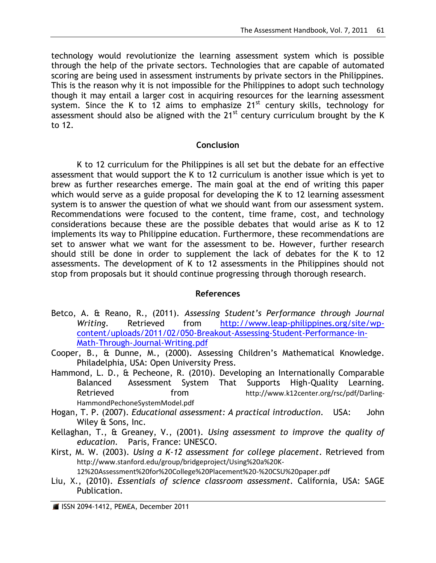technology would revolutionize the learning assessment system which is possible through the help of the private sectors. Technologies that are capable of automated scoring are being used in assessment instruments by private sectors in the Philippines. This is the reason why it is not impossible for the Philippines to adopt such technology though it may entail a larger cost in acquiring resources for the learning assessment system. Since the K to 12 aims to emphasize  $21^{st}$  century skills, technology for assessment should also be aligned with the  $21^{st}$  century curriculum brought by the K to 12.

## **Conclusion**

K to 12 curriculum for the Philippines is all set but the debate for an effective assessment that would support the K to 12 curriculum is another issue which is yet to brew as further researches emerge. The main goal at the end of writing this paper which would serve as a guide proposal for developing the K to 12 learning assessment system is to answer the question of what we should want from our assessment system. Recommendations were focused to the content, time frame, cost, and technology considerations because these are the possible debates that would arise as K to 12 implements its way to Philippine education. Furthermore, these recommendations are set to answer what we want for the assessment to be. However, further research should still be done in order to supplement the lack of debates for the K to 12 assessments. The development of K to 12 assessments in the Philippines should not stop from proposals but it should continue progressing through thorough research.

## **References**

- Betco, A. & Reano, R., (2011). *Assessing Student's Performance through Journal Writing*. Retrieved from [http://www.leap-philippines.org/site/wp](http://www.leap-philippines.org/site/wp-content/uploads/2011/02/050-Breakout-Assessing-Student-Performance-in-Math-Through-Journal-Writing.pdf)[content/uploads/2011/02/050-Breakout-Assessing-Student-Performance-in-](http://www.leap-philippines.org/site/wp-content/uploads/2011/02/050-Breakout-Assessing-Student-Performance-in-Math-Through-Journal-Writing.pdf)[Math-Through-Journal-Writing.pdf](http://www.leap-philippines.org/site/wp-content/uploads/2011/02/050-Breakout-Assessing-Student-Performance-in-Math-Through-Journal-Writing.pdf)
- Cooper, B., & Dunne, M., (2000). Assessing Children"s Mathematical Knowledge. Philadelphia, USA: Open University Press.
- Hammond, L. D., & Pecheone, R. (2010). Developing an Internationally Comparable Balanced Assessment System That Supports High-Quality Learning. Retrieved from [http://www.k12center.org/rsc/pdf/Darling-](http://www.k12center.org/rsc/pdf/Darling-HammondPechoneSystemModel.pdf)[HammondPechoneSystemModel.pdf](http://www.k12center.org/rsc/pdf/Darling-HammondPechoneSystemModel.pdf)
- Hogan, T. P. (2007). *Educational assessment: A practical introduction*. USA: John Wiley & Sons, Inc.
- Kellaghan, T., & Greaney, V., (2001). *Using assessment to improve the quality of education*. Paris, France: UNESCO.
- Kirst, M. W. (2003). *Using a K-12 assessment for college placement*. Retrieved from [http://www.stanford.edu/group/bridgeproject/Using%20a%20K-](http://www.stanford.edu/group/bridgeproject/Using%20a%20K-12%20Assessment%20for%20College%20Placement%20-%20CSU%20paper.pdf)[12%20Assessment%20for%20College%20Placement%20-%20CSU%20paper.pdf](http://www.stanford.edu/group/bridgeproject/Using%20a%20K-12%20Assessment%20for%20College%20Placement%20-%20CSU%20paper.pdf)
- Liu, X., (2010). *Essentials of science classroom assessment*. California, USA: SAGE Publication.